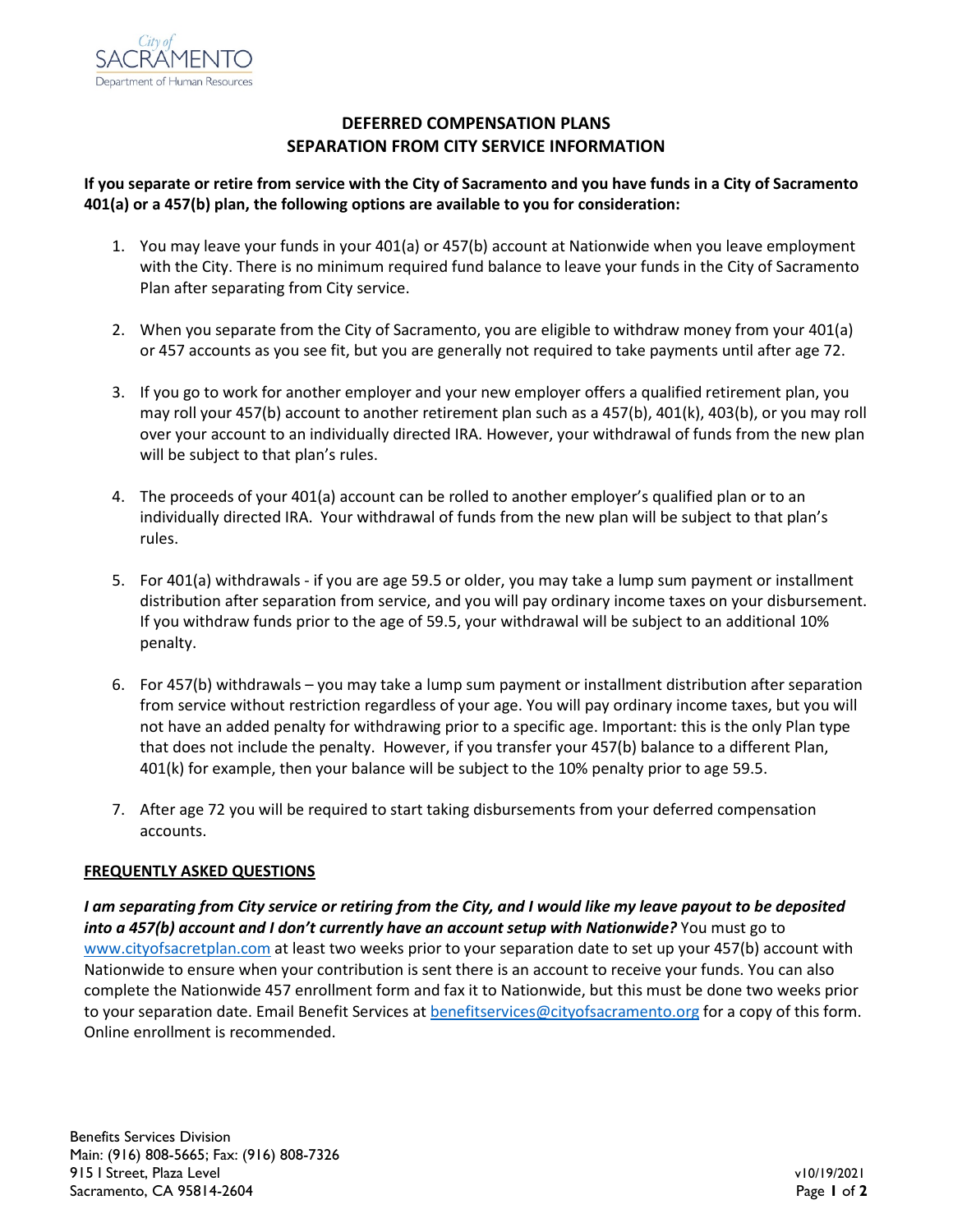

## **DEFERRED COMPENSATION PLANS SEPARATION FROM CITY SERVICE INFORMATION**

## **If you separate or retire from service with the City of Sacramento and you have funds in a City of Sacramento 401(a) or a 457(b) plan, the following options are available to you for consideration:**

- 1. You may leave your funds in your 401(a) or 457(b) account at Nationwide when you leave employment with the City. There is no minimum required fund balance to leave your funds in the City of Sacramento Plan after separating from City service.
- 2. When you separate from the City of Sacramento, you are eligible to withdraw money from your 401(a) or 457 accounts as you see fit, but you are generally not required to take payments until after age 72.
- 3. If you go to work for another employer and your new employer offers a qualified retirement plan, you may roll your 457(b) account to another retirement plan such as a 457(b), 401(k), 403(b), or you may roll over your account to an individually directed IRA. However, your withdrawal of funds from the new plan will be subject to that plan's rules.
- 4. The proceeds of your 401(a) account can be rolled to another employer's qualified plan or to an individually directed IRA. Your withdrawal of funds from the new plan will be subject to that plan's rules.
- 5. For 401(a) withdrawals if you are age 59.5 or older, you may take a lump sum payment or installment distribution after separation from service, and you will pay ordinary income taxes on your disbursement. If you withdraw funds prior to the age of 59.5, your withdrawal will be subject to an additional 10% penalty.
- 6. For 457(b) withdrawals you may take a lump sum payment or installment distribution after separation from service without restriction regardless of your age. You will pay ordinary income taxes, but you will not have an added penalty for withdrawing prior to a specific age. Important: this is the only Plan type that does not include the penalty. However, if you transfer your 457(b) balance to a different Plan, 401(k) for example, then your balance will be subject to the 10% penalty prior to age 59.5.
- 7. After age 72 you will be required to start taking disbursements from your deferred compensation accounts.

## **FREQUENTLY ASKED QUESTIONS**

*I am separating from City service or retiring from the City, and I would like my leave payout to be deposited into a 457(b) account and I don't currently have an account setup with Nationwide?* You must go to [www.cityofsacretplan.com](http://www.cityofsacretplan.com/) at least two weeks prior to your separation date to set up your 457(b) account with Nationwide to ensure when your contribution is sent there is an account to receive your funds. You can also complete the Nationwide 457 enrollment form and fax it to Nationwide, but this must be done two weeks prior to your separation date. Email Benefit Services a[t benefitservices@cityofsacramento.org](mailto:benefitservices@cityofsacramento.org) for a copy of this form. Online enrollment is recommended.